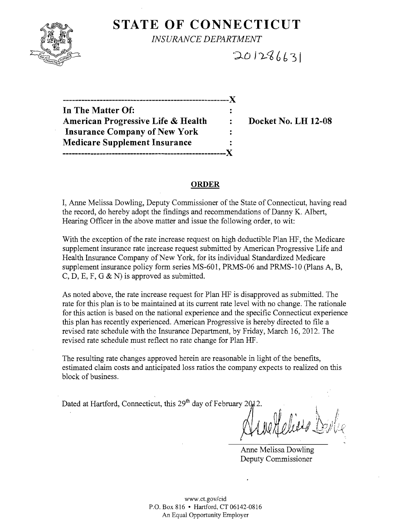

## **STATE OF CONNECTICUT**

*INSURANCE DEPARTMENT* 

 $201286631$ 

**------------------------------------------------------**)( **In The Matter Of:** American Progressive Life & Health : Docket No. LH 12-08 **Insurance Company of New York Medicare Supplement Insurance -----------------------------------------------------)(** 

#### **ORDER**

I, Anne Melissa Dowling, Deputy Commissioner of the State of Connecticut, having read the record, do hereby adopt the findings and recommendations of Danny K. Albert, Hearing Officer in the above matter and issue the following order, to wit:

With the exception of the rate increase request on high deductible Plan HF, the Medicare supplement insurance rate increase request submitted by American Progressive Life and Health Insurance Company of New York, for its individual Standardized Medicare supplement insurance policy form series MS-601, PRMS-06 and PRMS-10 (Plans A, B, C, D, E, F, G  $\&$  N) is approved as submitted.

As noted above, the rate increase request for Plan HF is disapproved as submitted. The rate for this plan is to be maintained at its current rate level with no change. The rationale for this action is based on the national experience and the specific Connecticut experience this plan has recently experienced. American Progressive is hereby directed to file a revised rate schedule with the Insurance Department, by Friday, March 16, 2012. The revised rate schedule must reflect no rate change for Plan HF.

The resulting rate changes approved herein are reasonable in light of the benefits, estimated claim costs and anticipated loss ratios the company expects to realized on this block of business.

Dated at Hartford, Connecticut, this 29<sup>th</sup> day of February 20 $\mu$ 2.

 $H$ eliste  $\mathbb{\hat{P}}$ *Or* ft,'. I *Ii* (\ilj)l I; *... J;\t..\* 

Anne Melissa Dowling Deputy Commissioner

www.ct.gov/cid P.O. Box 816 • Hartford, CT 06142-0816 An Equal Opportunity Employer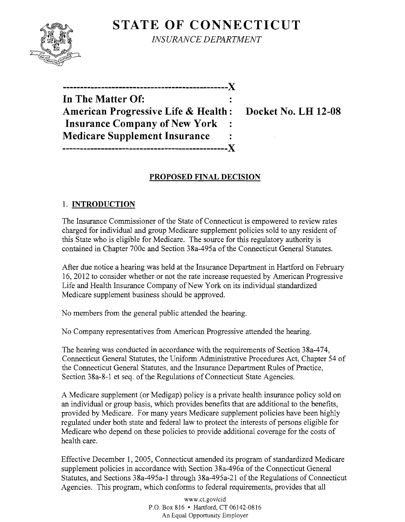# **STATE OF CONNECTICUT**



*INSURANCE DEPARTMENT* 

**-----------------------------------------------)( In The Matter Of: American Progressive Life & Health: Docket No. LH 12-08 Insurance Company of New York Medicare Supplement Insurance -----------------------------------------------)(** 

## **PROPOSED FINAL DECISION**

### 1. **INTRODUCTION**

The Insurance Commissioner of the State of Connecticut is empowered to review rates charged for individual and group Medicare supplement policies sold to any resident of this State who is eligible for Medicare. The source for this regulatory authority is contained in Chapter 700c and Section 38a-495a of the Connecticut General Statutes.

After due notice a hearing was held at the Insurance Department in Hartford on February 16, 2012 to consider whether or not the rate increase requested by American Progressive Life and Health Insurance Company of New York on its individual standardized Medicare supplement business should be approved.

No members from the general public attended the hearing.

No Company representatives from American Progressive attended the hearing.

The hearing was conducted in accordance with the requirements of Section 38a-474, Connecticut General Statutes, the Uniform Administrative Procedures Act, Chapter 54 of the Connecticut General Statutes, and the Insurance Department Rules of Practice, Section 38a-8-l et seq. of the Regulations of Connecticut State Agencies.

A Medicare supplement (or Medigap) policy is a private health insurance policy sold on an individual or group basis, which provides benefits that are additional to the benefits, provided by Medicare. For many years Medicare supplement policies have been highly regulated under both state and federal law to protect the interests of persons eligible for Medicare who depend on these policies to provide additional coverage for the costs of health care.

Effective December 1,2005, Connecticut amended its program of standardized Medicare supplement policies in accordance with Section 38a-496a of the Connecticut General Statutes, and Sections 38a-495a-l through 38a-495a-2l of the Regulations of Connecticut Agencies. This program, which conforms to federal requirements, provides that all

> www.ct.gov/cid P.O. Box 816 • Hartford, CT 06142-0816 An Equal Opportunity Employer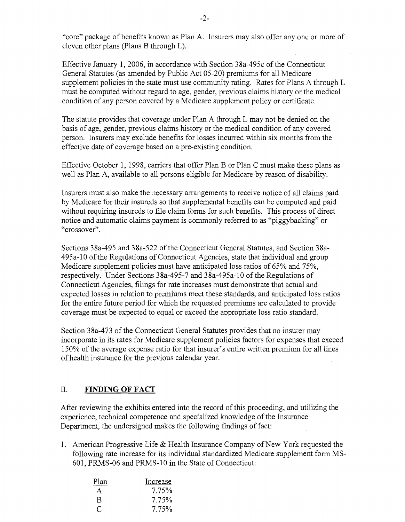"core" package of benefits known as Plan A. Insurers may also offer anyone or more of eleven other plans (Plans B through L).

Effective January 1, 2006, in accordance with Section 38a-495c of the Connecticut General Statutes (as amended by Public Act 05-20) premiums for all Medicare supplement policies in the state must use community rating. Rates for Plans A through L must be computed without regard to age, gender, previous claims history or the medical condition of any person covered by a Medicare supplement policy or certificate.

The statute provides that coverage under Plan A through L may not be denied on the basis of age, gender, previous claims history or the medical condition of any covered person. Insurers may exclude benefits for losses incurred within six months from the effective date of coverage based on a pre-existing condition.

Effective October 1, 1998, carriers that offer Plan B or Plan C must make these plans as well as Plan A, available to all persons eligible for Medicare by reason of disability.

Insurers must also make the necessary arrangements to receive notice of all claims paid by Medicare for their insureds so that supplemental benefits can be computed and paid without requiring insureds to file claim forms for such benefits. This process of direct notice and automatic claims payment is commonly referred to as "piggybacking" or "crossover".

Sections 38a-495 and 38a-522 of the Connecticut General Statutes, and Section 38a-495a-10 of the Regulations of Connecticut Agencies, state that individual and group Medicare supplement policies must have anticipated loss ratios of 65% and 75%, respectively. Under Sections 38a-495-7 and 38a-495a-10 of the Regulations of Connecticut Agencies, filings for rate increases must demonstrate that actual and expected losses in relation to premiums meet these standards, and anticipated loss ratios for the entire future period for which the requested premiums are calculated to provide coverage must be expected to equal or exceed the appropriate loss ratio standard.

Section 38a-473 of the Connecticut General Statutes provides that no insurer may incorporate in its rates for Medicare supplement policies factors for expenses that exceed 150% of the average expense ratio for that insurer's entire written premium for all lines of health insurance for the previous calendar year.

#### II. **FINDING OF FACT**

After reviewing the exhibits entered into the record of this proceeding, and utilizing the experience, technical competence and specialized knowledge of the Insurance Department, the undersigned makes the following findings of fact:

1. American Progressive Life  $\&$  Health Insurance Company of New York requested the following rate increase for its individual standardized Medicare supplement form MS-601, PRMS-06 and PRMS-10 in the State of Connecticut:

| Plan | Increase |
|------|----------|
| A    | 7.75%    |
| B    | 7.75%    |
| €    | 7.75%    |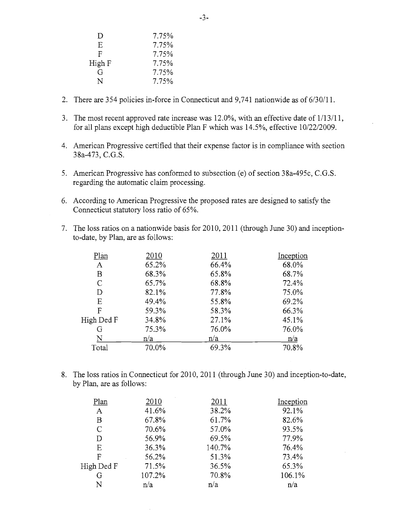| $\Box$ | 7.75% |
|--------|-------|
| E      | 7.75% |
| F      | 7.75% |
| High F | 7.75% |
| G      | 7.75% |
| N      | 7.75% |
|        |       |

- 2. There are 354 policies in-force in Connecticut and 9,741 nationwide as of 6/30/11.
- 3. The most recent approved rate increase was  $12.0\%$ , with an effective date of  $1/13/11$ , for all plans except high deductible Plan F which was 14.5%, effective 10/22/2009.
- 4. American Progressive certified that their expense factor is in compliance with section 38a-473, C.G.S.
- 5. American Progressive has conformed to subsection (e) of section 38a-495c, C.G.S. regarding the automatic claim processing.
- 6. According to American Progressive the proposed rates are designed to satisfy the Connecticut statutory loss ratio of 65%.
- 7. The loss ratios on a nationwide basis for 2010, 2011 (through June 30) and inceptionto-date, by Plan, are as follows:

| Plan         | 2010  | 2011  | Inception |
|--------------|-------|-------|-----------|
| A            | 65.2% | 66.4% | 68.0%     |
| B            | 68.3% | 65.8% | 68.7%     |
| $\mathsf{C}$ | 65.7% | 68.8% | 72.4%     |
| D            | 82.1% | 77.8% | 75.0%     |
| Ε            | 49.4% | 55.8% | 69.2%     |
| F            | 59.3% | 58.3% | 66.3%     |
| High Ded F   | 34.8% | 27.1% | 45.1%     |
| G            | 75.3% | 76.0% | 76.0%     |
| N            | n/a   | n/a   | n/a       |
| Total        | 70.0% | 69.3% | 70.8%     |
|              |       |       |           |

8. The loss ratios in Connecticut for 2010, 2011 (through June 30) and inception-to-date, by Plan, are as follows:

| Plan       | 2010   | 2011   | Inception |
|------------|--------|--------|-----------|
| A          | 41.6%  | 38.2%  | 92.1%     |
| B          | 67.8%  | 61.7%  | 82.6%     |
| C          | 70.6%  | 57.0%  | 93.5%     |
| D          | 56.9%  | 69.5%  | 77.9%     |
| E          | 36.3%  | 140.7% | 76.4%     |
| F          | 56.2%  | 51.3%  | 73.4%     |
| High Ded F | 71.5%  | 36.5%  | 65.3%     |
| G          | 107.2% | 70.8%  | 106.1%    |
| N          | n/a    | n/a    | n/a       |